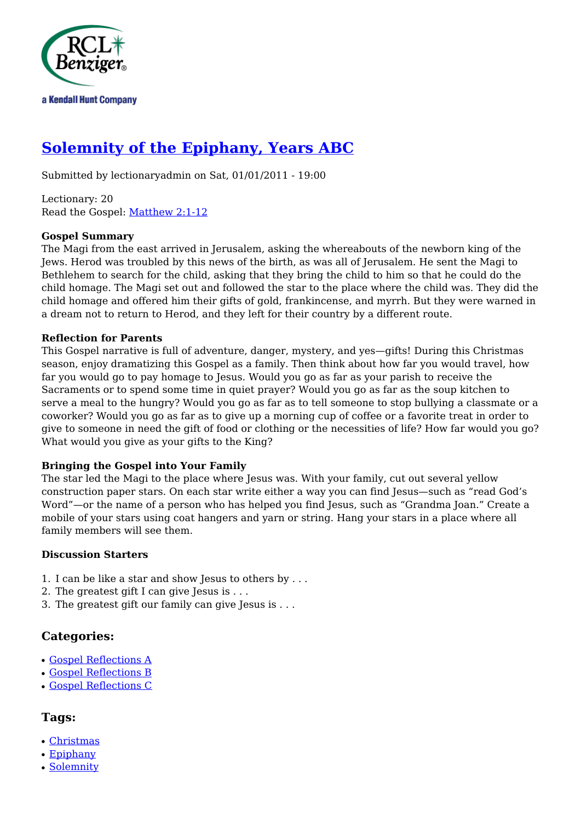

# **[Solemnity of the Epiphany, Years ABC](http://rclblectionary.com/solemnity-epiphany-years-abc)**

Submitted by lectionaryadmin on Sat, 01/01/2011 - 19:00

Lectionary: 20 Read the Gospel: [Matthew 2:1-12](http://www.usccb.org/bible/matthew/2:1)

### **Gospel Summary**

The Magi from the east arrived in Jerusalem, asking the whereabouts of the newborn king of the Jews. Herod was troubled by this news of the birth, as was all of Jerusalem. He sent the Magi to Bethlehem to search for the child, asking that they bring the child to him so that he could do the child homage. The Magi set out and followed the star to the place where the child was. They did the child homage and offered him their gifts of gold, frankincense, and myrrh. But they were warned in a dream not to return to Herod, and they left for their country by a different route.

#### **Reflection for Parents**

This Gospel narrative is full of adventure, danger, mystery, and yes—gifts! During this Christmas season, enjoy dramatizing this Gospel as a family. Then think about how far you would travel, how far you would go to pay homage to Jesus. Would you go as far as your parish to receive the Sacraments or to spend some time in quiet prayer? Would you go as far as the soup kitchen to serve a meal to the hungry? Would you go as far as to tell someone to stop bullying a classmate or a coworker? Would you go as far as to give up a morning cup of coffee or a favorite treat in order to give to someone in need the gift of food or clothing or the necessities of life? How far would you go? What would you give as your gifts to the King?

### **Bringing the Gospel into Your Family**

The star led the Magi to the place where Jesus was. With your family, cut out several yellow construction paper stars. On each star write either a way you can find Jesus—such as "read God's Word"—or the name of a person who has helped you find Jesus, such as "Grandma Joan." Create a mobile of your stars using coat hangers and yarn or string. Hang your stars in a place where all family members will see them.

### **Discussion Starters**

- 1. I can be like a star and show Jesus to others by . . .
- 2. The greatest gift I can give Jesus is . . .
- 3. The greatest gift our family can give Jesus is . . .

## **Categories:**

- [Gospel Reflections A](http://rclblectionary.com/taxonomy/term/6)
- [Gospel Reflections B](http://rclblectionary.com/taxonomy/term/7)
- [Gospel Reflections C](http://rclblectionary.com/taxonomy/term/8)

## **Tags:**

- [Christmas](http://rclblectionary.com/taxonomy/term/29)
- $\cdot$  [Epiphany](http://rclblectionary.com/taxonomy/term/36)
- [Solemnity](http://rclblectionary.com/taxonomy/term/28)